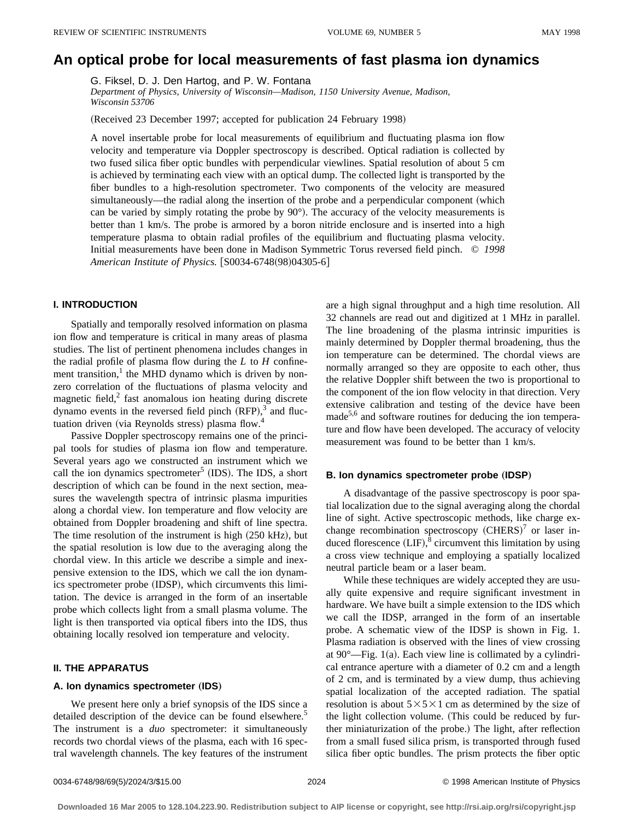# **An optical probe for local measurements of fast plasma ion dynamics**

G. Fiksel, D. J. Den Hartog, and P. W. Fontana

*Department of Physics, University of Wisconsin—Madison, 1150 University Avenue, Madison, Wisconsin 53706*

(Received 23 December 1997; accepted for publication 24 February 1998)

A novel insertable probe for local measurements of equilibrium and fluctuating plasma ion flow velocity and temperature via Doppler spectroscopy is described. Optical radiation is collected by two fused silica fiber optic bundles with perpendicular viewlines. Spatial resolution of about 5 cm is achieved by terminating each view with an optical dump. The collected light is transported by the fiber bundles to a high-resolution spectrometer. Two components of the velocity are measured simultaneously—the radial along the insertion of the probe and a perpendicular component (which can be varied by simply rotating the probe by  $90^{\circ}$ ). The accuracy of the velocity measurements is better than 1 km/s. The probe is armored by a boron nitride enclosure and is inserted into a high temperature plasma to obtain radial profiles of the equilibrium and fluctuating plasma velocity. Initial measurements have been done in Madison Symmetric Torus reversed field pinch. © *1998 American Institute of Physics.* [S0034-6748(98)04305-6]

# **I. INTRODUCTION**

Spatially and temporally resolved information on plasma ion flow and temperature is critical in many areas of plasma studies. The list of pertinent phenomena includes changes in the radial profile of plasma flow during the *L* to *H* confinement transition, $\frac{1}{1}$  the MHD dynamo which is driven by nonzero correlation of the fluctuations of plasma velocity and magnetic field, $2$  fast anomalous ion heating during discrete dynamo events in the reversed field pinch  $(RFP)$ ,<sup>3</sup> and fluctuation driven (via Reynolds stress) plasma flow. $4$ 

Passive Doppler spectroscopy remains one of the principal tools for studies of plasma ion flow and temperature. Several years ago we constructed an instrument which we call the ion dynamics spectrometer<sup>5</sup> (IDS). The IDS, a short description of which can be found in the next section, measures the wavelength spectra of intrinsic plasma impurities along a chordal view. Ion temperature and flow velocity are obtained from Doppler broadening and shift of line spectra. The time resolution of the instrument is high  $(250 \text{ kHz})$ , but the spatial resolution is low due to the averaging along the chordal view. In this article we describe a simple and inexpensive extension to the IDS, which we call the ion dynamics spectrometer probe (IDSP), which circumvents this limitation. The device is arranged in the form of an insertable probe which collects light from a small plasma volume. The light is then transported via optical fibers into the IDS, thus obtaining locally resolved ion temperature and velocity.

# **II. THE APPARATUS**

# **A. Ion dynamics spectrometer (IDS)**

We present here only a brief synopsis of the IDS since a detailed description of the device can be found elsewhere.<sup>5</sup> The instrument is a *duo* spectrometer: it simultaneously records two chordal views of the plasma, each with 16 spectral wavelength channels. The key features of the instrument are a high signal throughput and a high time resolution. All 32 channels are read out and digitized at 1 MHz in parallel. The line broadening of the plasma intrinsic impurities is mainly determined by Doppler thermal broadening, thus the ion temperature can be determined. The chordal views are normally arranged so they are opposite to each other, thus the relative Doppler shift between the two is proportional to the component of the ion flow velocity in that direction. Very extensive calibration and testing of the device have been  $made<sup>5,6</sup>$  and software routines for deducing the ion temperature and flow have been developed. The accuracy of velocity measurement was found to be better than 1 km/s.

#### **B. Ion dynamics spectrometer probe (IDSP)**

A disadvantage of the passive spectroscopy is poor spatial localization due to the signal averaging along the chordal line of sight. Active spectroscopic methods, like charge exchange recombination spectroscopy  $(CHERS)^7$  or laser induced florescence  $(LIF)$ ,<sup>8</sup> circumvent this limitation by using a cross view technique and employing a spatially localized neutral particle beam or a laser beam.

While these techniques are widely accepted they are usually quite expensive and require significant investment in hardware. We have built a simple extension to the IDS which we call the IDSP, arranged in the form of an insertable probe. A schematic view of the IDSP is shown in Fig. 1. Plasma radiation is observed with the lines of view crossing at  $90^{\circ}$ —Fig. 1(a). Each view line is collimated by a cylindrical entrance aperture with a diameter of 0.2 cm and a length of 2 cm, and is terminated by a view dump, thus achieving spatial localization of the accepted radiation. The spatial resolution is about  $5\times5\times1$  cm as determined by the size of the light collection volume. (This could be reduced by further miniaturization of the probe.) The light, after reflection from a small fused silica prism, is transported through fused silica fiber optic bundles. The prism protects the fiber optic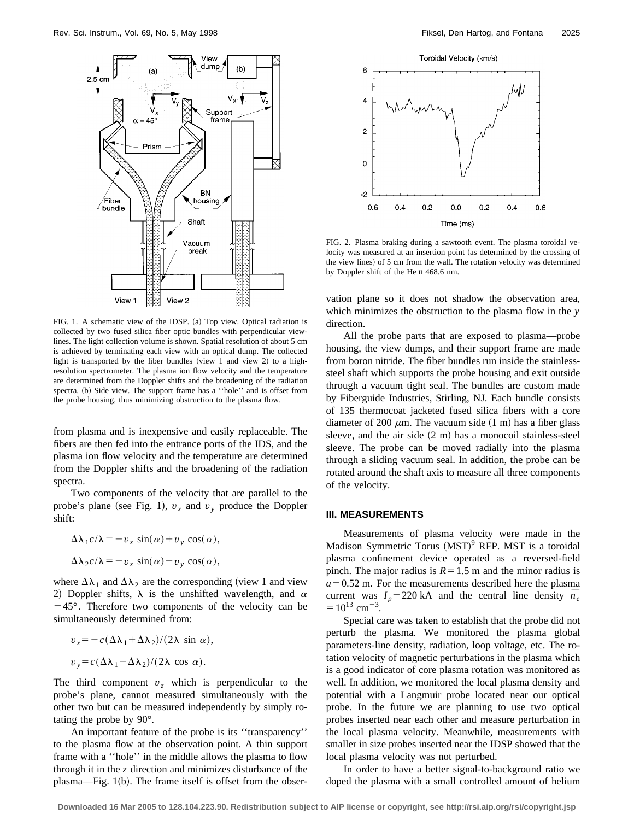

FIG. 1. A schematic view of the IDSP. (a) Top view. Optical radiation is collected by two fused silica fiber optic bundles with perpendicular viewlines. The light collection volume is shown. Spatial resolution of about 5 cm is achieved by terminating each view with an optical dump. The collected light is transported by the fiber bundles (view 1 and view 2) to a highresolution spectrometer. The plasma ion flow velocity and the temperature are determined from the Doppler shifts and the broadening of the radiation spectra. (b) Side view. The support frame has a "hole" and is offset from the probe housing, thus minimizing obstruction to the plasma flow.

from plasma and is inexpensive and easily replaceable. The fibers are then fed into the entrance ports of the IDS, and the plasma ion flow velocity and the temperature are determined from the Doppler shifts and the broadening of the radiation spectra.

Two components of the velocity that are parallel to the probe's plane (see Fig. 1),  $v_x$  and  $v_y$  produce the Doppler shift:

$$
\Delta \lambda_1 c/\lambda = -v_x \sin(\alpha) + v_y \cos(\alpha),
$$
  

$$
\Delta \lambda_2 c/\lambda = -v_x \sin(\alpha) - v_y \cos(\alpha),
$$

where  $\Delta\lambda_1$  and  $\Delta\lambda_2$  are the corresponding (view 1 and view 2) Doppler shifts,  $\lambda$  is the unshifted wavelength, and  $\alpha$  $=45^{\circ}$ . Therefore two components of the velocity can be simultaneously determined from:

$$
v_x = -c(\Delta\lambda_1 + \Delta\lambda_2)/(2\lambda \sin \alpha),
$$
  
\n
$$
v_y = c(\Delta\lambda_1 - \Delta\lambda_2)/(2\lambda \cos \alpha).
$$

The third component  $v<sub>z</sub>$  which is perpendicular to the probe's plane, cannot measured simultaneously with the other two but can be measured independently by simply rotating the probe by 90°.

An important feature of the probe is its ''transparency'' to the plasma flow at the observation point. A thin support frame with a ''hole'' in the middle allows the plasma to flow through it in the *z* direction and minimizes disturbance of the plasma—Fig.  $1(b)$ . The frame itself is offset from the obser-



FIG. 2. Plasma braking during a sawtooth event. The plasma toroidal velocity was measured at an insertion point (as determined by the crossing of the view lines) of 5 cm from the wall. The rotation velocity was determined by Doppler shift of the He II 468.6 nm.

vation plane so it does not shadow the observation area, which minimizes the obstruction to the plasma flow in the *y* direction.

All the probe parts that are exposed to plasma—probe housing, the view dumps, and their support frame are made from boron nitride. The fiber bundles run inside the stainlesssteel shaft which supports the probe housing and exit outside through a vacuum tight seal. The bundles are custom made by Fiberguide Industries, Stirling, NJ. Each bundle consists of 135 thermocoat jacketed fused silica fibers with a core diameter of 200  $\mu$ m. The vacuum side (1 m) has a fiber glass sleeve, and the air side  $(2 \text{ m})$  has a monocoil stainless-steel sleeve. The probe can be moved radially into the plasma through a sliding vacuum seal. In addition, the probe can be rotated around the shaft axis to measure all three components of the velocity.

## **III. MEASUREMENTS**

Measurements of plasma velocity were made in the Madison Symmetric Torus (MST)<sup>9</sup> RFP. MST is a toroidal plasma confinement device operated as a reversed-field pinch. The major radius is  $R=1.5$  m and the minor radius is  $a=0.52$  m. For the measurements described here the plasma current was  $I_p = 220 \text{ kA}$  and the central line density  $\bar{n}_e$  $=10^{13}$  cm<sup>-3</sup>.

Special care was taken to establish that the probe did not perturb the plasma. We monitored the plasma global parameters-line density, radiation, loop voltage, etc. The rotation velocity of magnetic perturbations in the plasma which is a good indicator of core plasma rotation was monitored as well. In addition, we monitored the local plasma density and potential with a Langmuir probe located near our optical probe. In the future we are planning to use two optical probes inserted near each other and measure perturbation in the local plasma velocity. Meanwhile, measurements with smaller in size probes inserted near the IDSP showed that the local plasma velocity was not perturbed.

In order to have a better signal-to-background ratio we doped the plasma with a small controlled amount of helium